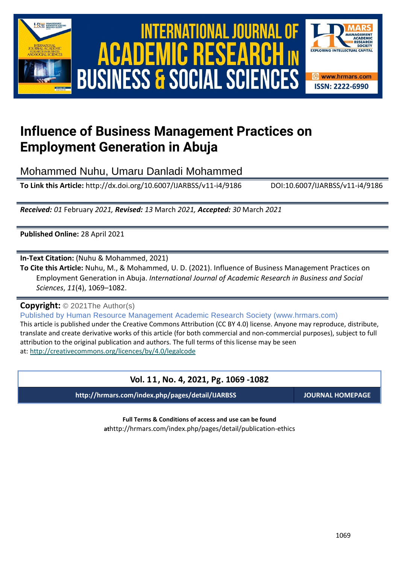

# International Journal of Academic Research in Business and Social Sciences **Vol.1 1 ,No. 4, 2021,E-ISSN:2222-6990 © 2021 HRMARS** ACADEMIC **BUSINESS & SOCIAL SCIENCES**



# **Influence of Business Management Practices on Employment Generation in Abuja**

Mohammed Nuhu, Umaru Danladi Mohammed

**To Link this Article:** http://dx.doi.org/10.6007/IJARBSS/v11-i4/9186 DOI:10.6007/IJARBSS/v11-i4/9186

*Received: 01* February *2021, Revised: 13* March *2021, Accepted: 30* March *2021*

**Published Online:** 28 April 2021

**In-Text Citation:** (Nuhu & Mohammed, 2021)

**To Cite this Article:** Nuhu, M., & Mohammed, U. D. (2021). Influence of Business Management Practices on Employment Generation in Abuja. *International Journal of Academic Research in Business and Social Sciences*, *11*(4), 1069–1082.

# **Copyright:** © 2021The Author(s)

Published by Human Resource Management Academic Research Society (www.hrmars.com) This article is published under the Creative Commons Attribution (CC BY 4.0) license. Anyone may reproduce, distribute, translate and create derivative works of this article (for both commercial and non-commercial purposes), subject to full attribution to the original publication and authors. The full terms of this license may be seen at: <http://creativecommons.org/licences/by/4.0/legalcode>

# **Vol. 11, No. 4, 2021, Pg. 1069 -1082**

**http://hrmars.com/index.php/pages/detail/IJARBSS JOURNAL HOMEPAGE**

**Full Terms & Conditions of access and use can be found at**http://hrmars.com/index.php/pages/detail/publication-ethics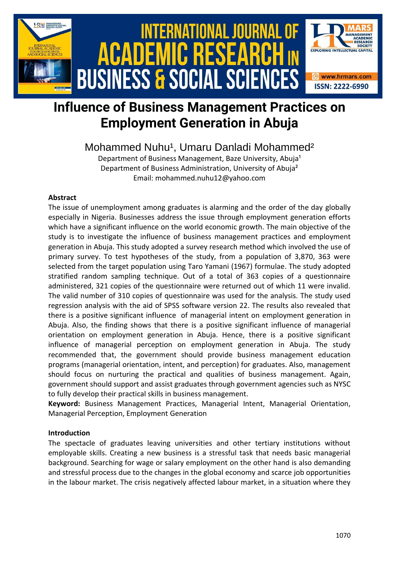

# **Influence of Business Management Practices on Employment Generation in Abuja**

# Mohammed Nuhu<sup>1</sup>, Umaru Danladi Mohammed<sup>2</sup>

Department of Business Management, Baze University, Abuja<sup>1</sup> Department of Business Administration, University of Abuja² Email: mohammed.nuhu12@yahoo.com

# **Abstract**

The issue of unemployment among graduates is alarming and the order of the day globally especially in Nigeria. Businesses address the issue through employment generation efforts which have a significant influence on the world economic growth. The main objective of the study is to investigate the influence of business management practices and employment generation in Abuja. This study adopted a survey research method which involved the use of primary survey. To test hypotheses of the study, from a population of 3,870, 363 were selected from the target population using Taro Yamani (1967) formulae. The study adopted stratified random sampling technique. Out of a total of 363 copies of a questionnaire administered, 321 copies of the questionnaire were returned out of which 11 were invalid. The valid number of 310 copies of questionnaire was used for the analysis. The study used regression analysis with the aid of SPSS software version 22. The results also revealed that there is a positive significant influence of managerial intent on employment generation in Abuja. Also, the finding shows that there is a positive significant influence of managerial orientation on employment generation in Abuja. Hence, there is a positive significant influence of managerial perception on employment generation in Abuja. The study recommended that, the government should provide business management education programs (managerial orientation, intent, and perception) for graduates. Also, management should focus on nurturing the practical and qualities of business management. Again, government should support and assist graduates through government agencies such as NYSC to fully develop their practical skills in business management.

**Keyword:** Business Management Practices, Managerial Intent, Managerial Orientation, Managerial Perception, Employment Generation

### **Introduction**

The spectacle of graduates leaving universities and other tertiary institutions without employable skills. Creating a new business is a stressful task that needs basic managerial background. Searching for wage or salary employment on the other hand is also demanding and stressful process due to the changes in the global economy and scarce job opportunities in the labour market. The crisis negatively affected labour market, in a situation where they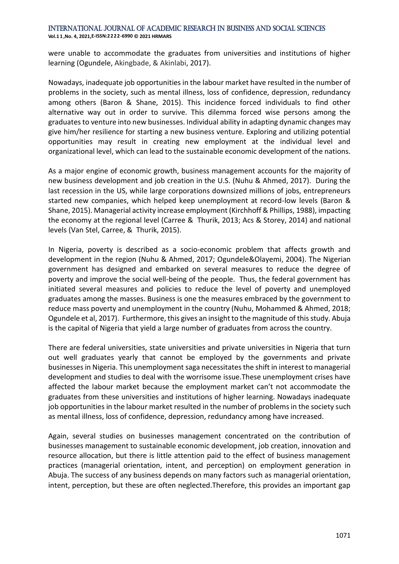were unable to accommodate the graduates from universities and institutions of higher learning (Ogundele, Akingbade, & Akinlabi, 2017).

Nowadays, inadequate job opportunities in the labour market have resulted in the number of problems in the society, such as mental illness, loss of confidence, depression, redundancy among others (Baron & Shane, 2015). This incidence forced individuals to find other alternative way out in order to survive. This dilemma forced wise persons among the graduates to venture into new businesses. Individual ability in adapting dynamic changes may give him/her resilience for starting a new business venture. Exploring and utilizing potential opportunities may result in creating new employment at the individual level and organizational level, which can lead to the sustainable economic development of the nations.

As a major engine of economic growth, business management accounts for the majority of new business development and job creation in the U.S. (Nuhu & Ahmed, 2017). During the last recession in the US, while large corporations downsized millions of jobs, entrepreneurs started new companies, which helped keep unemployment at record-low levels (Baron & Shane, 2015). Managerial activity increase employment (Kirchhoff & Phillips, 1988), impacting the economy at the regional level (Carree & Thurik, 2013; Acs & Storey, 2014) and national levels (Van Stel, Carree, & Thurik, 2015).

In Nigeria, poverty is described as a socio-economic problem that affects growth and development in the region (Nuhu & Ahmed, 2017; Ogundele&Olayemi, 2004). The Nigerian government has designed and embarked on several measures to reduce the degree of poverty and improve the social well-being of the people. Thus, the federal government has initiated several measures and policies to reduce the level of poverty and unemployed graduates among the masses. Business is one the measures embraced by the government to reduce mass poverty and unemployment in the country (Nuhu, Mohammed & Ahmed, 2018; Ogundele et al, 2017). Furthermore, this gives an insight to the magnitude of this study. Abuja is the capital of Nigeria that yield a large number of graduates from across the country.

There are federal universities, state universities and private universities in Nigeria that turn out well graduates yearly that cannot be employed by the governments and private businesses in Nigeria. This unemployment saga necessitates the shift in interest to managerial development and studies to deal with the worrisome issue.These unemployment crises have affected the labour market because the employment market can't not accommodate the graduates from these universities and institutions of higher learning. Nowadays inadequate job opportunities in the labour market resulted in the number of problems in the society such as mental illness, loss of confidence, depression, redundancy among have increased.

Again, several studies on businesses management concentrated on the contribution of businesses management to sustainable economic development, job creation, innovation and resource allocation, but there is little attention paid to the effect of business management practices (managerial orientation, intent, and perception) on employment generation in Abuja. The success of any business depends on many factors such as managerial orientation, intent, perception, but these are often neglected.Therefore, this provides an important gap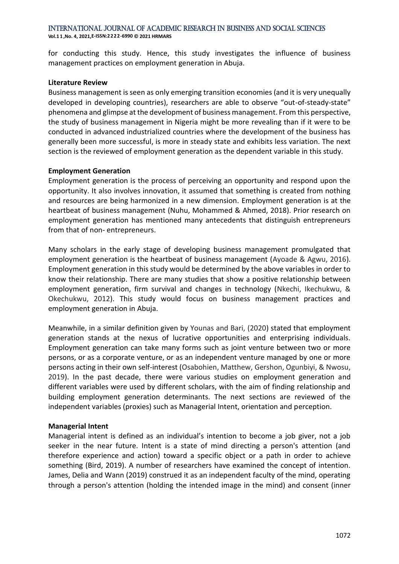**Vol.1 1 ,No. 4, 2021,E-ISSN:2222-6990 © 2021 HRMARS**

for conducting this study. Hence, this study investigates the influence of business management practices on employment generation in Abuja.

#### **Literature Review**

Business management is seen as only emerging transition economies (and it is very unequally developed in developing countries), researchers are able to observe "out-of-steady-state" phenomena and glimpse at the development of business management. From this perspective, the study of business management in Nigeria might be more revealing than if it were to be conducted in advanced industrialized countries where the development of the business has generally been more successful, is more in steady state and exhibits less variation. The next section is the reviewed of employment generation as the dependent variable in this study.

### **Employment Generation**

Employment generation is the process of perceiving an opportunity and respond upon the opportunity. It also involves innovation, it assumed that something is created from nothing and resources are being harmonized in a new dimension. Employment generation is at the heartbeat of business management (Nuhu, Mohammed & Ahmed, 2018). Prior research on employment generation has mentioned many antecedents that distinguish entrepreneurs from that of non- entrepreneurs.

Many scholars in the early stage of developing business management promulgated that employment generation is the heartbeat of business management (Ayoade & Agwu, 2016). Employment generation in this study would be determined by the above variables in order to know their relationship. There are many studies that show a positive relationship between employment generation, firm survival and changes in technology (Nkechi, Ikechukwu, & Okechukwu, 2012). This study would focus on business management practices and employment generation in Abuja.

Meanwhile, in a similar definition given by Younas and Bari, (2020) stated that employment generation stands at the nexus of lucrative opportunities and enterprising individuals. Employment generation can take many forms such as joint venture between two or more persons, or as a corporate venture, or as an independent venture managed by one or more persons acting in their own self-interest (Osabohien, Matthew, Gershon, Ogunbiyi, & Nwosu, 2019). In the past decade, there were various studies on employment generation and different variables were used by different scholars, with the aim of finding relationship and building employment generation determinants. The next sections are reviewed of the independent variables (proxies) such as Managerial Intent, orientation and perception.

### **Managerial Intent**

Managerial intent is defined as an individual's intention to become a job giver, not a job seeker in the near future. Intent is a state of mind directing a person's attention (and therefore experience and action) toward a specific object or a path in order to achieve something (Bird, 2019). A number of researchers have examined the concept of intention. James, Delia and Wann (2019) construed it as an independent faculty of the mind, operating through a person's attention (holding the intended image in the mind) and consent (inner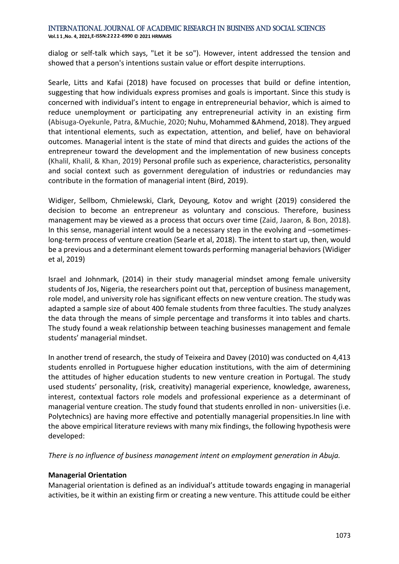**Vol.1 1 ,No. 4, 2021,E-ISSN:2222-6990 © 2021 HRMARS**

dialog or self-talk which says, "Let it be so"). However, intent addressed the tension and showed that a person's intentions sustain value or effort despite interruptions.

Searle, Litts and Kafai (2018) have focused on processes that build or define intention, suggesting that how individuals express promises and goals is important. Since this study is concerned with individual's intent to engage in entrepreneurial behavior, which is aimed to reduce unemployment or participating any entrepreneurial activity in an existing firm (Abisuga-Oyekunle, Patra, &Muchie, 2020; Nuhu, Mohammed &Ahmend, 2018). They argued that intentional elements, such as expectation, attention, and belief, have on behavioral outcomes. Managerial intent is the state of mind that directs and guides the actions of the entrepreneur toward the development and the implementation of new business concepts (Khalil, Khalil, & Khan, 2019) Personal profile such as experience, characteristics, personality and social context such as government deregulation of industries or redundancies may contribute in the formation of managerial intent (Bird, 2019).

Widiger, Sellbom, Chmielewski, Clark, Deyoung, Kotov and wright (2019) considered the decision to become an entrepreneur as voluntary and conscious. Therefore, business management may be viewed as a process that occurs over time (Zaid, Jaaron, & Bon, 2018). In this sense, managerial intent would be a necessary step in the evolving and –sometimeslong-term process of venture creation (Searle et al, 2018). The intent to start up, then, would be a previous and a determinant element towards performing managerial behaviors (Widiger et al, 2019)

Israel and Johnmark, (2014) in their study managerial mindset among female university students of Jos, Nigeria, the researchers point out that, perception of business management, role model, and university role has significant effects on new venture creation. The study was adapted a sample size of about 400 female students from three faculties. The study analyzes the data through the means of simple percentage and transforms it into tables and charts. The study found a weak relationship between teaching businesses management and female students' managerial mindset.

In another trend of research, the study of Teixeira and Davey (2010) was conducted on 4,413 students enrolled in Portuguese higher education institutions, with the aim of determining the attitudes of higher education students to new venture creation in Portugal. The study used students' personality, (risk, creativity) managerial experience, knowledge, awareness, interest, contextual factors role models and professional experience as a determinant of managerial venture creation. The study found that students enrolled in non- universities (i.e. Polytechnics) are having more effective and potentially managerial propensities.In line with the above empirical literature reviews with many mix findings, the following hypothesis were developed:

*There is no influence of business management intent on employment generation in Abuja.*

### **Managerial Orientation**

Managerial orientation is defined as an individual's attitude towards engaging in managerial activities, be it within an existing firm or creating a new venture. This attitude could be either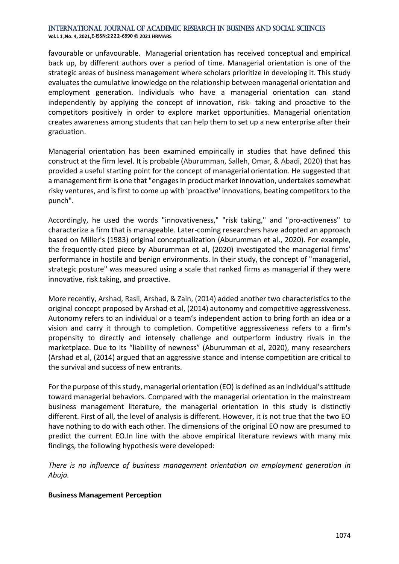**Vol.1 1 ,No. 4, 2021,E-ISSN:2222-6990 © 2021 HRMARS**

favourable or unfavourable. Managerial orientation has received conceptual and empirical back up, by different authors over a period of time. Managerial orientation is one of the strategic areas of business management where scholars prioritize in developing it. This study evaluates the cumulative knowledge on the relationship between managerial orientation and employment generation. Individuals who have a managerial orientation can stand independently by applying the concept of innovation, risk- taking and proactive to the competitors positively in order to explore market opportunities. Managerial orientation creates awareness among students that can help them to set up a new enterprise after their graduation.

Managerial orientation has been examined empirically in studies that have defined this construct at the firm level. It is probable (Aburumman, Salleh, Omar, & Abadi, 2020) that has provided a useful starting point for the concept of managerial orientation. He suggested that a management firm is one that "engages in product market innovation, undertakes somewhat risky ventures, and is first to come up with 'proactive' innovations, beating competitors to the punch".

Accordingly, he used the words "innovativeness," "risk taking," and "pro-activeness" to characterize a firm that is manageable. Later-coming researchers have adopted an approach based on Miller's (1983) original conceptualization (Aburumman et al., 2020). For example, the frequently-cited piece by Aburumman et al, (2020) investigated the managerial firms' performance in hostile and benign environments. In their study, the concept of "managerial, strategic posture" was measured using a scale that ranked firms as managerial if they were innovative, risk taking, and proactive.

More recently, Arshad, Rasli, Arshad, & Zain, (2014) added another two characteristics to the original concept proposed by Arshad et al, (2014) autonomy and competitive aggressiveness. Autonomy refers to an individual or a team's independent action to bring forth an idea or a vision and carry it through to completion. Competitive aggressiveness refers to a firm's propensity to directly and intensely challenge and outperform industry rivals in the marketplace. Due to its "liability of newness" (Aburumman et al, 2020), many researchers (Arshad et al, (2014) argued that an aggressive stance and intense competition are critical to the survival and success of new entrants.

For the purpose of this study, managerial orientation (EO) is defined as an individual's attitude toward managerial behaviors. Compared with the managerial orientation in the mainstream business management literature, the managerial orientation in this study is distinctly different. First of all, the level of analysis is different. However, it is not true that the two EO have nothing to do with each other. The dimensions of the original EO now are presumed to predict the current EO.In line with the above empirical literature reviews with many mix findings, the following hypothesis were developed:

*There is no influence of business management orientation on employment generation in Abuja.*

### **Business Management Perception**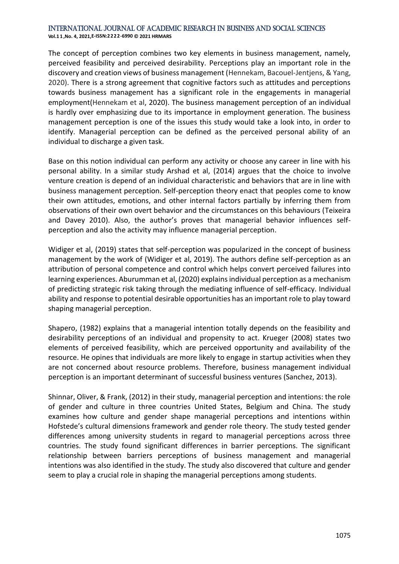**Vol.1 1 ,No. 4, 2021,E-ISSN:2222-6990 © 2021 HRMARS**

The concept of perception combines two key elements in business management, namely, perceived feasibility and perceived desirability. Perceptions play an important role in the discovery and creation views of business management (Hennekam, Bacouel-Jentjens, & Yang, 2020). There is a strong agreement that cognitive factors such as attitudes and perceptions towards business management has a significant role in the engagements in managerial employment(Hennekam et al, 2020). The business management perception of an individual is hardly over emphasizing due to its importance in employment generation. The business management perception is one of the issues this study would take a look into, in order to identify. Managerial perception can be defined as the perceived personal ability of an individual to discharge a given task.

Base on this notion individual can perform any activity or choose any career in line with his personal ability. In a similar study Arshad et al, (2014) argues that the choice to involve venture creation is depend of an individual characteristic and behaviors that are in line with business management perception. Self-perception theory enact that peoples come to know their own attitudes, emotions, and other internal factors partially by inferring them from observations of their own overt behavior and the circumstances on this behaviours (Teixeira and Davey 2010). Also, the author's proves that managerial behavior influences selfperception and also the activity may influence managerial perception.

Widiger et al, (2019) states that self-perception was popularized in the concept of business management by the work of (Widiger et al, 2019). The authors define self-perception as an attribution of personal competence and control which helps convert perceived failures into learning experiences. Aburumman et al, (2020) explains individual perception as a mechanism of predicting strategic risk taking through the mediating influence of self-efficacy. Individual ability and response to potential desirable opportunities has an important role to play toward shaping managerial perception.

Shapero, (1982) explains that a managerial intention totally depends on the feasibility and desirability perceptions of an individual and propensity to act. Krueger (2008) states two elements of perceived feasibility, which are perceived opportunity and availability of the resource. He opines that individuals are more likely to engage in startup activities when they are not concerned about resource problems. Therefore, business management individual perception is an important determinant of successful business ventures (Sanchez, 2013).

Shinnar, Oliver, & Frank, (2012) in their study, managerial perception and intentions: the role of gender and culture in three countries United States, Belgium and China. The study examines how culture and gender shape managerial perceptions and intentions within Hofstede's cultural dimensions framework and gender role theory. The study tested gender differences among university students in regard to managerial perceptions across three countries. The study found significant differences in barrier perceptions. The significant relationship between barriers perceptions of business management and managerial intentions was also identified in the study. The study also discovered that culture and gender seem to play a crucial role in shaping the managerial perceptions among students.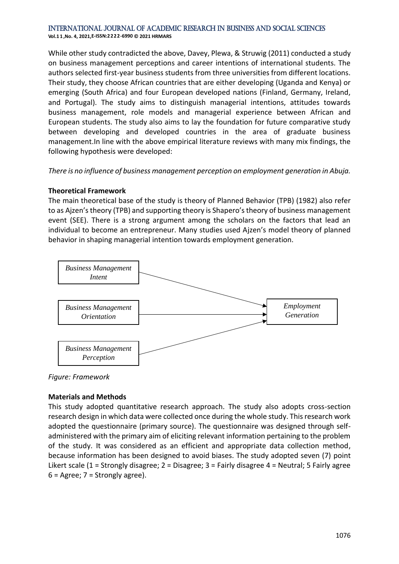**Vol.1 1 ,No. 4, 2021,E-ISSN:2222-6990 © 2021 HRMARS**

While other study contradicted the above, Davey, Plewa, & Struwig (2011) conducted a study on business management perceptions and career intentions of international students. The authors selected first-year business students from three universities from different locations. Their study, they choose African countries that are either developing (Uganda and Kenya) or emerging (South Africa) and four European developed nations (Finland, Germany, Ireland, and Portugal). The study aims to distinguish managerial intentions, attitudes towards business management, role models and managerial experience between African and European students. The study also aims to lay the foundation for future comparative study between developing and developed countries in the area of graduate business management.In line with the above empirical literature reviews with many mix findings, the following hypothesis were developed:

*There is no influence of business management perception on employment generation in Abuja.*

# **Theoretical Framework**

The main theoretical base of the study is theory of Planned Behavior (TPB) (1982) also refer to as Ajzen's theory (TPB) and supporting theory is Shapero's theory of business management event (SEE). There is a strong argument among the scholars on the factors that lead an individual to become an entrepreneur. Many studies used Ajzen's model theory of planned behavior in shaping managerial intention towards employment generation.



*Figure: Framework*

# **Materials and Methods**

This study adopted quantitative research approach. The study also adopts cross-section research design in which data were collected once during the whole study. This research work adopted the questionnaire (primary source). The questionnaire was designed through selfadministered with the primary aim of eliciting relevant information pertaining to the problem of the study. It was considered as an efficient and appropriate data collection method, because information has been designed to avoid biases. The study adopted seven (7) point Likert scale (1 = Strongly disagree; 2 = Disagree; 3 = Fairly disagree 4 = Neutral; 5 Fairly agree  $6 =$  Agree;  $7 =$  Strongly agree).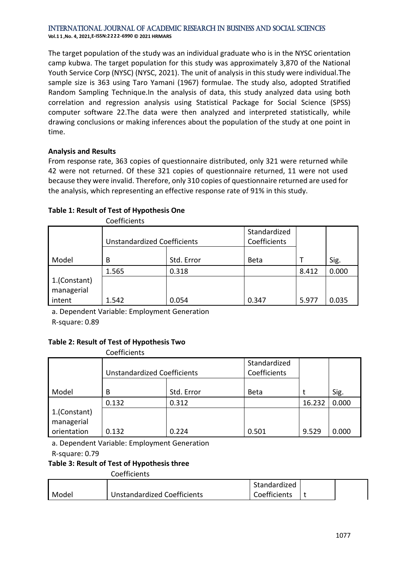**Vol.1 1 ,No. 4, 2021,E-ISSN:2222-6990 © 2021 HRMARS**

The target population of the study was an individual graduate who is in the NYSC orientation camp kubwa. The target population for this study was approximately 3,870 of the National Youth Service Corp (NYSC) (NYSC, 2021). The unit of analysis in this study were individual.The sample size is 363 using Taro Yamani (1967) formulae. The study also, adopted Stratified Random Sampling Technique.In the analysis of data, this study analyzed data using both correlation and regression analysis using Statistical Package for Social Science (SPSS) computer software 22.The data were then analyzed and interpreted statistically, while drawing conclusions or making inferences about the population of the study at one point in time.

# **Analysis and Results**

From response rate, 363 copies of questionnaire distributed, only 321 were returned while 42 were not returned. Of these 321 copies of questionnaire returned, 11 were not used because they were invalid. Therefore, only 310 copies of questionnaire returned are used for the analysis, which representing an effective response rate of 91% in this study.

# **Table 1: Result of Test of Hypothesis One**

Coefficients

|                            | <b>Unstandardized Coefficients</b> |            | Standardized<br>Coefficients |       |       |
|----------------------------|------------------------------------|------------|------------------------------|-------|-------|
| Model                      | B                                  | Std. Error | <b>Beta</b>                  |       | Sig.  |
|                            | 1.565                              | 0.318      |                              | 8.412 | 0.000 |
| 1.(Constant)<br>managerial |                                    |            |                              |       |       |
| intent                     | 1.542                              | 0.054      | 0.347                        | 5.977 | 0.035 |

a. Dependent Variable: Employment Generation

R-square: 0.89

# **Table 2: Result of Test of Hypothesis Two**

|                                                    | Coefficients                       |            |                              |        |       |
|----------------------------------------------------|------------------------------------|------------|------------------------------|--------|-------|
|                                                    | <b>Unstandardized Coefficients</b> |            | Standardized<br>Coefficients |        |       |
| Model                                              | B                                  | Std. Error | <b>Beta</b>                  |        | Sig.  |
|                                                    | 0.132                              | 0.312      |                              | 16.232 | 0.000 |
| 1.(Constant)<br><b>I</b> managerial<br>orientation | 0.132                              | 0.224      | 0.501                        | 9.529  | 0.000 |

a. Dependent Variable: Employment Generation

R-square: 0.79

# **Table 3: Result of Test of Hypothesis three**

Coefficients

|       |                             | Standardized |  |
|-------|-----------------------------|--------------|--|
| Model | Unstandardized Coefficients | Coefficients |  |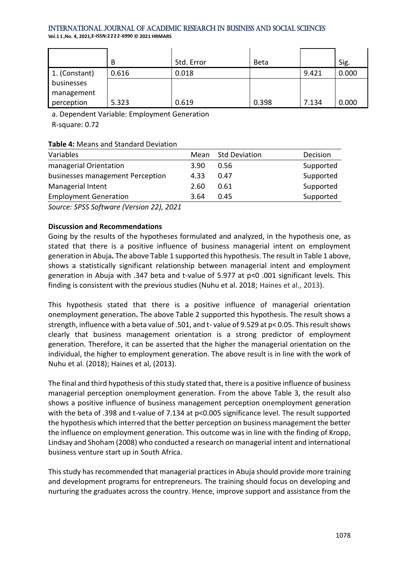**Vol.1 1 ,No. 4, 2021,E-ISSN:2222-6990 © 2021 HRMARS**

|               | B     | Std. Error | <b>Beta</b> |       | Sig.  |
|---------------|-------|------------|-------------|-------|-------|
| 1. (Constant) | 0.616 | 0.018      |             | 9.421 | 0.000 |
| businesses    |       |            |             |       |       |
| management    |       |            |             |       |       |
| perception    | 5.323 | 0.619      | 0.398       | 7.134 | 0.000 |

a. Dependent Variable: Employment Generation

R-square: 0.72

### **Table 4:** Means and Standard Deviation

| Variables                        |      | Mean Std Deviation | Decision  |
|----------------------------------|------|--------------------|-----------|
| managerial Orientation           | 3.90 | 0.56               | Supported |
| businesses management Perception | 4.33 | 0.47               | Supported |
| Managerial Intent                | 2.60 | 0.61               | Supported |
| <b>Employment Generation</b>     | 3.64 | 0.45               | Supported |

*Source: SPSS Software (Version 22), 2021*

# **Discussion and Recommendations**

Going by the results of the hypotheses formulated and analyzed, in the hypothesis one, as stated that there is a positive influence of business managerial intent on employment generation in Abuja**.** The above Table 1 supported this hypothesis. The result in Table 1 above, shows a statistically significant relationship between managerial intent and employment generation in Abuja with .347 beta and t-value of 5.977 at p<0 .001 significant levels. This finding is consistent with the previous studies (Nuhu et al. 2018; Haines et al., 2013).

This hypothesis stated that there is a positive influence of managerial orientation onemployment generation**.** The above Table 2 supported this hypothesis. The result shows a strength, influence with a beta value of .501, and t- value of 9.529 at p< 0.05. This result shows clearly that business management orientation is a strong predictor of employment generation. Therefore, it can be asserted that the higher the managerial orientation on the individual, the higher to employment generation. The above result is in line with the work of Nuhu et al. (2018); Haines et al, (2013).

The final and third hypothesis of this study stated that, there is a positive influence of business managerial perception onemployment generation. From the above Table 3, the result also shows a positive influence of business management perception onemployment generation with the beta of .398 and t-value of 7.134 at p<0.005 significance level. The result supported the hypothesis which interred that the better perception on business management the better the influence on employment generation. This outcome was in line with the finding of Kropp, Lindsay and Shoham (2008) who conducted a research on managerial intent and international business venture start up in South Africa.

This study has recommended that managerial practices in Abuja should provide more training and development programs for entrepreneurs. The training should focus on developing and nurturing the graduates across the country. Hence, improve support and assistance from the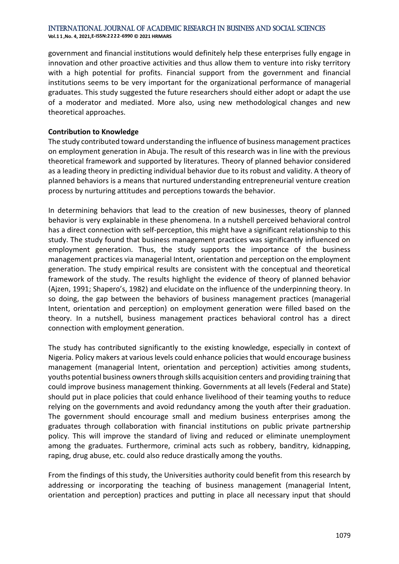**Vol.1 1 ,No. 4, 2021,E-ISSN:2222-6990 © 2021 HRMARS**

government and financial institutions would definitely help these enterprises fully engage in innovation and other proactive activities and thus allow them to venture into risky territory with a high potential for profits. Financial support from the government and financial institutions seems to be very important for the organizational performance of managerial graduates. This study suggested the future researchers should either adopt or adapt the use of a moderator and mediated. More also, using new methodological changes and new theoretical approaches.

#### **Contribution to Knowledge**

The study contributed toward understanding the influence of business management practices on employment generation in Abuja. The result of this research was in line with the previous theoretical framework and supported by literatures. Theory of planned behavior considered as a leading theory in predicting individual behavior due to its robust and validity. A theory of planned behaviors is a means that nurtured understanding entrepreneurial venture creation process by nurturing attitudes and perceptions towards the behavior.

In determining behaviors that lead to the creation of new businesses, theory of planned behavior is very explainable in these phenomena. In a nutshell perceived behavioral control has a direct connection with self-perception, this might have a significant relationship to this study. The study found that business management practices was significantly influenced on employment generation. Thus, the study supports the importance of the business management practices via managerial Intent, orientation and perception on the employment generation. The study empirical results are consistent with the conceptual and theoretical framework of the study. The results highlight the evidence of theory of planned behavior (Ajzen, 1991; Shapero's, 1982) and elucidate on the influence of the underpinning theory. In so doing, the gap between the behaviors of business management practices (managerial Intent, orientation and perception) on employment generation were filled based on the theory. In a nutshell, business management practices behavioral control has a direct connection with employment generation.

The study has contributed significantly to the existing knowledge, especially in context of Nigeria. Policy makers at various levels could enhance policies that would encourage business management (managerial Intent, orientation and perception) activities among students, youths potential business owners through skills acquisition centers and providing training that could improve business management thinking. Governments at all levels (Federal and State) should put in place policies that could enhance livelihood of their teaming youths to reduce relying on the governments and avoid redundancy among the youth after their graduation. The government should encourage small and medium business enterprises among the graduates through collaboration with financial institutions on public private partnership policy. This will improve the standard of living and reduced or eliminate unemployment among the graduates. Furthermore, criminal acts such as robbery, banditry, kidnapping, raping, drug abuse, etc. could also reduce drastically among the youths.

From the findings of this study, the Universities authority could benefit from this research by addressing or incorporating the teaching of business management (managerial Intent, orientation and perception) practices and putting in place all necessary input that should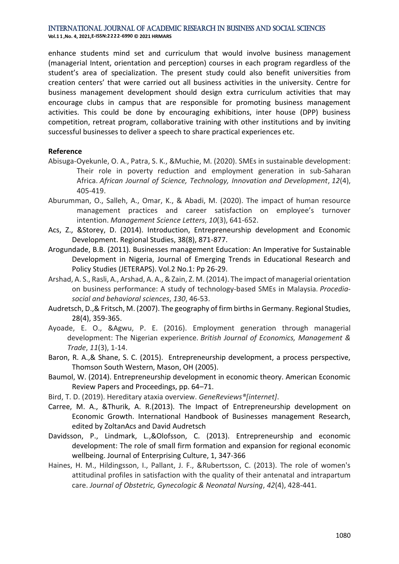**Vol.1 1 ,No. 4, 2021,E-ISSN:2222-6990 © 2021 HRMARS**

enhance students mind set and curriculum that would involve business management (managerial Intent, orientation and perception) courses in each program regardless of the student's area of specialization. The present study could also benefit universities from creation centers' that were carried out all business activities in the university. Centre for business management development should design extra curriculum activities that may encourage clubs in campus that are responsible for promoting business management activities. This could be done by encouraging exhibitions, inter house (DPP) business competition, retreat program, collaborative training with other institutions and by inviting successful businesses to deliver a speech to share practical experiences etc.

#### **Reference**

- Abisuga-Oyekunle, O. A., Patra, S. K., &Muchie, M. (2020). SMEs in sustainable development: Their role in poverty reduction and employment generation in sub-Saharan Africa. *African Journal of Science, Technology, Innovation and Development*, *12*(4), 405-419.
- Aburumman, O., Salleh, A., Omar, K., & Abadi, M. (2020). The impact of human resource management practices and career satisfaction on employee's turnover intention. *Management Science Letters*, *10*(3), 641-652.
- Acs, Z., &Storey, D. (2014). Introduction, Entrepreneurship development and Economic Development. Regional Studies, 38(8), 871-877.
- Arogundade, B.B. (2011). Businesses management Education: An Imperative for Sustainable Development in Nigeria, Journal of Emerging Trends in Educational Research and Policy Studies (JETERAPS). Vol.2 No.1: Pp 26-29.
- Arshad, A. S., Rasli, A., Arshad, A. A., & Zain, Z. M. (2014). The impact of managerial orientation on business performance: A study of technology-based SMEs in Malaysia. *Procediasocial and behavioral sciences*, *130*, 46-53.
- Audretsch, D.,& Fritsch, M. (2007). The geography of firm births in Germany. Regional Studies, 28(4), 359-365.
- Ayoade, E. O., &Agwu, P. E. (2016). Employment generation through managerial development: The Nigerian experience. *British Journal of Economics, Management & Trade*, *11*(3), 1-14.
- Baron, R. A.,& Shane, S. C. (2015). Entrepreneurship development, a process perspective, Thomson South Western, Mason, OH (2005).
- Baumol, W. (2014). Entrepreneurship development in economic theory. American Economic Review Papers and Proceedings, pp. 64–71.
- Bird, T. D. (2019). Hereditary ataxia overview. *GeneReviews®[internet]*.
- Carree, M. A., &Thurik, A. R.(2013). The Impact of Entrepreneurship development on Economic Growth. International Handbook of Businesses management Research, edited by ZoltanAcs and David Audretsch
- Davidsson, P., Lindmark, L.,&Olofsson, C. (2013). Entrepreneurship and economic development: The role of small firm formation and expansion for regional economic wellbeing. Journal of Enterprising Culture, 1, 347-366
- Haines, H. M., Hildingsson, I., Pallant, J. F., &Rubertsson, C. (2013). The role of women's attitudinal profiles in satisfaction with the quality of their antenatal and intrapartum care. *Journal of Obstetric, Gynecologic & Neonatal Nursing*, *42*(4), 428-441.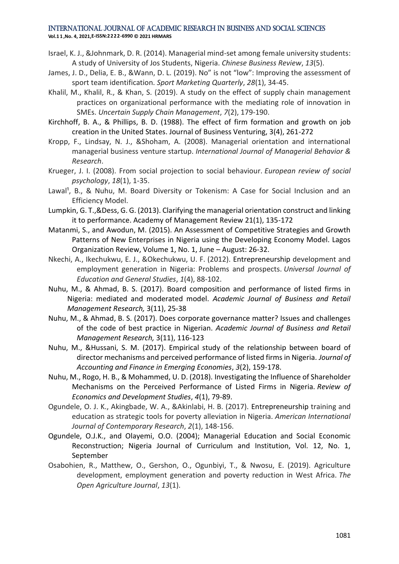**Vol.1 1 ,No. 4, 2021,E-ISSN:2222-6990 © 2021 HRMARS**

- Israel, K. J., &Johnmark, D. R. (2014). Managerial mind-set among female university students: A study of University of Jos Students, Nigeria. *Chinese Business Review*, *13*(5).
- James, J. D., Delia, E. B., &Wann, D. L. (2019). No" is not "low": Improving the assessment of sport team identification. *Sport Marketing Quarterly*, *28*(1), 34-45.
- Khalil, M., Khalil, R., & Khan, S. (2019). A study on the effect of supply chain management practices on organizational performance with the mediating role of innovation in SMEs. *Uncertain Supply Chain Management*, *7*(2), 179-190.
- Kirchhoff, B. A., & Phillips, B. D. (1988). The effect of firm formation and growth on job creation in the United States. Journal of Business Venturing, 3(4), 261-272
- Kropp, F., Lindsay, N. J., &Shoham, A. (2008). Managerial orientation and international managerial business venture startup. *International Journal of Managerial Behavior & Research*.
- Krueger, J. I. (2008). From social projection to social behaviour. *European review of social psychology*, *18*(1), 1-35.
- Lawal<sup>1</sup>, B., & Nuhu, M. Board Diversity or Tokenism: A Case for Social Inclusion and an Efficiency Model.
- Lumpkin, G. T.,&Dess, G. G. (2013). Clarifying the managerial orientation construct and linking it to performance. Academy of Management Review 21(1), 135-172
- Matanmi, S., and Awodun, M. (2015). An Assessment of Competitive Strategies and Growth Patterns of New Enterprises in Nigeria using the Developing Economy Model. Lagos Organization Review, Volume 1, No. 1, June – August: 26-32.
- Nkechi, A., Ikechukwu, E. J., &Okechukwu, U. F. (2012). Entrepreneurship development and employment generation in Nigeria: Problems and prospects. *Universal Journal of Education and General Studies*, *1*(4), 88-102.
- Nuhu, M., & Ahmad, B. S. (2017). Board composition and performance of listed firms in Nigeria: mediated and moderated model. *Academic Journal of Business and Retail Management Research,* 3(11), 25-38
- Nuhu, M., & Ahmad, B. S. (2017). Does corporate governance matter? Issues and challenges of the code of best practice in Nigerian. *Academic Journal of Business and Retail Management Research,* 3(11), 116-123
- Nuhu, M., &Hussani, S. M. (2017). Empirical study of the relationship between board of director mechanisms and perceived performance of listed firms in Nigeria. *Journal of Accounting and Finance in Emerging Economies*, *3*(2), 159-178.
- Nuhu, M., Rogo, H. B., & Mohammed, U. D. (2018). Investigating the Influence of Shareholder Mechanisms on the Perceived Performance of Listed Firms in Nigeria. *Review of Economics and Development Studies*, *4*(1), 79-89.
- Ogundele, O. J. K., Akingbade, W. A., &Akinlabi, H. B. (2017). Entrepreneurship training and education as strategic tools for poverty alleviation in Nigeria. *American International Journal of Contemporary Research*, *2*(1), 148-156.
- Ogundele, O.J.K., and Olayemi, O.O. (2004); Managerial Education and Social Economic Reconstruction; Nigeria Journal of Curriculum and Institution, Vol. 12, No. 1, September
- Osabohien, R., Matthew, O., Gershon, O., Ogunbiyi, T., & Nwosu, E. (2019). Agriculture development, employment generation and poverty reduction in West Africa. *The Open Agriculture Journal*, *13*(1).